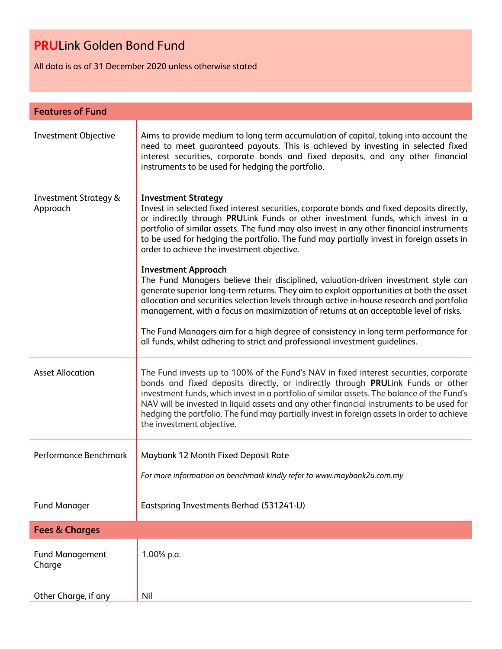All data is as of 31 December 2020 unless otherwise stated

| <b>Features of Fund</b>                      |                                                                                                                                                                                                                                                                                                                                                                                                                                                                                                                                                                                                                                                                                                                                                                                                                                                         |  |
|----------------------------------------------|---------------------------------------------------------------------------------------------------------------------------------------------------------------------------------------------------------------------------------------------------------------------------------------------------------------------------------------------------------------------------------------------------------------------------------------------------------------------------------------------------------------------------------------------------------------------------------------------------------------------------------------------------------------------------------------------------------------------------------------------------------------------------------------------------------------------------------------------------------|--|
| Investment Objective                         | Aims to provide medium to long term accumulation of capital, taking into account the<br>need to meet guaranteed payouts. This is achieved by investing in selected fixed<br>interest securities, corporate bonds and fixed deposits, and any other financial<br>instruments to be used for hedging the portfolio.                                                                                                                                                                                                                                                                                                                                                                                                                                                                                                                                       |  |
| <b>Investment Strategy &amp;</b><br>Approach | <b>Investment Strategy</b><br>Invest in selected fixed interest securities, corporate bonds and fixed deposits directly,<br>or indirectly through PRULink Funds or other investment funds, which invest in a<br>portfolio of similar assets. The fund may also invest in any other financial instruments<br>to be used for hedging the portfolio. The fund may partially invest in foreign assets in<br>order to achieve the investment objective.<br><b>Investment Approach</b><br>The Fund Managers believe their disciplined, valuation-driven investment style can<br>generate superior long-term returns. They aim to exploit opportunities at both the asset<br>allocation and securities selection levels through active in-house research and portfolio<br>management, with a focus on maximization of returns at an acceptable level of risks. |  |
|                                              | The Fund Managers aim for a high degree of consistency in long term performance for<br>all funds, whilst adhering to strict and professional investment quidelines.                                                                                                                                                                                                                                                                                                                                                                                                                                                                                                                                                                                                                                                                                     |  |
| <b>Asset Allocation</b>                      | The Fund invests up to 100% of the Fund's NAV in fixed interest securities, corporate<br>bonds and fixed deposits directly, or indirectly through PRULink Funds or other<br>investment funds, which invest in a portfolio of similar assets. The balance of the Fund's<br>NAV will be invested in liquid assets and any other financial instruments to be used for<br>hedging the portfolio. The fund may partially invest in foreign assets in order to achieve<br>the investment objective.                                                                                                                                                                                                                                                                                                                                                           |  |
| Performance Benchmark                        | Maybank 12 Month Fixed Deposit Rate                                                                                                                                                                                                                                                                                                                                                                                                                                                                                                                                                                                                                                                                                                                                                                                                                     |  |
|                                              | For more information on benchmark kindly refer to www.maybank2u.com.my                                                                                                                                                                                                                                                                                                                                                                                                                                                                                                                                                                                                                                                                                                                                                                                  |  |
| <b>Fund Manager</b>                          | Eastspring Investments Berhad (531241-U)                                                                                                                                                                                                                                                                                                                                                                                                                                                                                                                                                                                                                                                                                                                                                                                                                |  |
| <b>Fees &amp; Charges</b>                    |                                                                                                                                                                                                                                                                                                                                                                                                                                                                                                                                                                                                                                                                                                                                                                                                                                                         |  |
| <b>Fund Management</b><br>Charge             | 1.00% p.a.                                                                                                                                                                                                                                                                                                                                                                                                                                                                                                                                                                                                                                                                                                                                                                                                                                              |  |
| Other Charge, if any                         | Nil                                                                                                                                                                                                                                                                                                                                                                                                                                                                                                                                                                                                                                                                                                                                                                                                                                                     |  |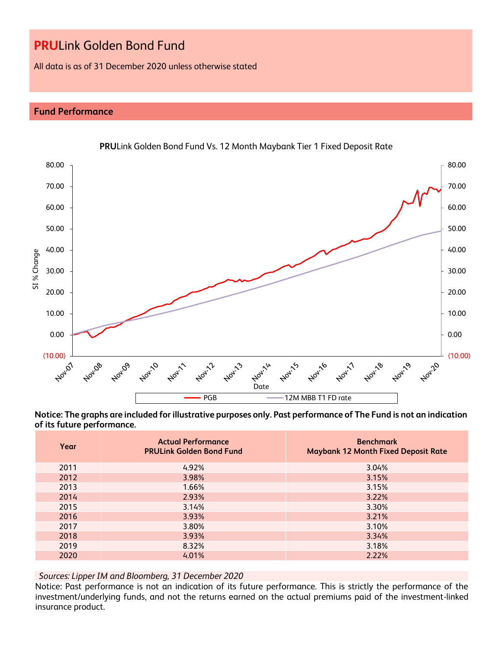All data is as of 31 December 2020 unless otherwise stated

## **Fund Performance**



**Notice: The graphs are included for illustrative purposes only. Past performance of The Fund is not an indication of its future performance.**

| Year | <b>Actual Performance</b><br><b>PRULink Golden Bond Fund</b> | <b>Benchmark</b><br><b>Maybank 12 Month Fixed Deposit Rate</b> |
|------|--------------------------------------------------------------|----------------------------------------------------------------|
| 2011 | 4.92%                                                        | 3.04%                                                          |
| 2012 | 3.98%                                                        | 3.15%                                                          |
| 2013 | 1.66%                                                        | 3.15%                                                          |
| 2014 | 2.93%                                                        | 3.22%                                                          |
| 2015 | 3.14%                                                        | 3.30%                                                          |
| 2016 | 3.93%                                                        | 3.21%                                                          |
| 2017 | 3.80%                                                        | 3.10%                                                          |
| 2018 | 3.93%                                                        | 3.34%                                                          |
| 2019 | 8.32%                                                        | 3.18%                                                          |
| 2020 | 4.01%                                                        | 2.22%                                                          |

*Sources: Lipper IM and Bloomberg, 31 December 2020*

Notice: Past performance is not an indication of its future performance. This is strictly the performance of the investment/underlying funds, and not the returns earned on the actual premiums paid of the investment-linked insurance product.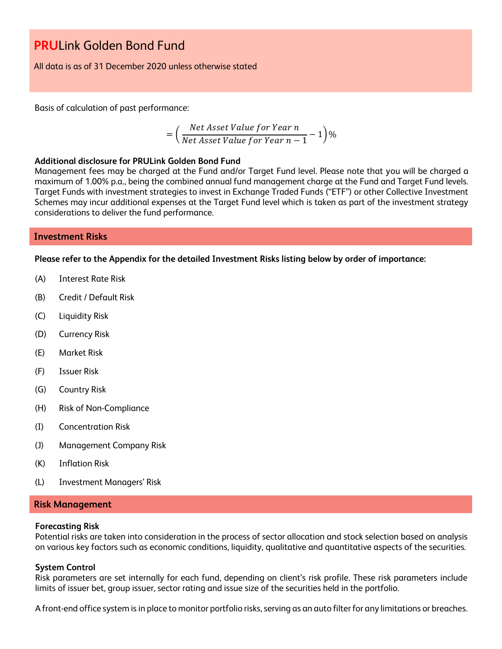All data is as of 31 December 2020 unless otherwise stated

Basis of calculation of past performance:

$$
= \left(\frac{Net\text{ Asset Value for Year }n}{Net\text{ Asset Value for Year }n-1}-1\right)\%
$$

### **Additional disclosure for PRULink Golden Bond Fund**

Management fees may be charged at the Fund and/or Target Fund level. Please note that you will be charged a maximum of 1.00% p.a., being the combined annual fund management charge at the Fund and Target Fund levels. Target Funds with investment strategies to invest in Exchange Traded Funds ("ETF") or other Collective Investment Schemes may incur additional expenses at the Target Fund level which is taken as part of the investment strategy considerations to deliver the fund performance.

## **Investment Risks**

**Please refer to the Appendix for the detailed Investment Risks listing below by order of importance:**

- (A) Interest Rate Risk
- (B) Credit / Default Risk
- (C) Liquidity Risk
- (D) Currency Risk
- (E) Market Risk
- (F) Issuer Risk
- (G) Country Risk
- (H) Risk of Non-Compliance
- (I) Concentration Risk
- (J) Management Company Risk
- (K) Inflation Risk
- (L) Investment Managers' Risk

### **Risk Management**

#### **Forecasting Risk**

Potential risks are taken into consideration in the process of sector allocation and stock selection based on analysis on various key factors such as economic conditions, liquidity, qualitative and quantitative aspects of the securities.

#### **System Control**

Risk parameters are set internally for each fund, depending on client's risk profile. These risk parameters include limits of issuer bet, group issuer, sector rating and issue size of the securities held in the portfolio.

A front-end office system is in place to monitor portfolio risks, serving as an auto filter for any limitations or breaches.